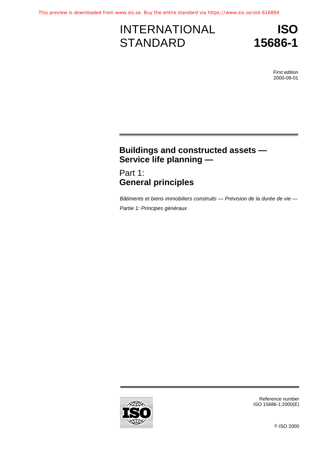# INTERNATIONAL **STANDARD**



First edition 2000-09-01

# **Buildings and constructed assets — Service life planning —**

Part 1: **General principles**

Bâtiments et biens immobiliers construits — Prévision de la durée de vie — Partie 1: Principes généraux



Reference number ISO 15686-1:2000(E)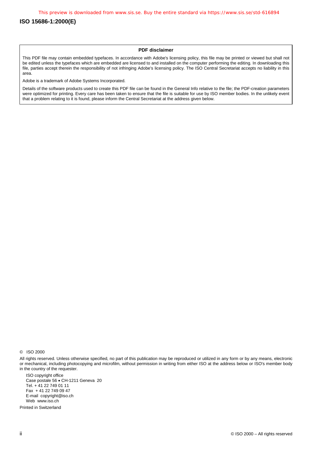#### **PDF disclaimer**

This PDF file may contain embedded typefaces. In accordance with Adobe's licensing policy, this file may be printed or viewed but shall not be edited unless the typefaces which are embedded are licensed to and installed on the computer performing the editing. In downloading this file, parties accept therein the responsibility of not infringing Adobe's licensing policy. The ISO Central Secretariat accepts no liability in this area.

Adobe is a trademark of Adobe Systems Incorporated.

Details of the software products used to create this PDF file can be found in the General Info relative to the file; the PDF-creation parameters were optimized for printing. Every care has been taken to ensure that the file is suitable for use by ISO member bodies. In the unlikely event that a problem relating to it is found, please inform the Central Secretariat at the address given below.

© ISO 2000

All rights reserved. Unless otherwise specified, no part of this publication may be reproduced or utilized in any form or by any means, electronic or mechanical, including photocopying and microfilm, without permission in writing from either ISO at the address below or ISO's member body in the country of the requester.

ISO copyright office Case postale 56 · CH-1211 Geneva 20 Tel. + 41 22 749 01 11 Fax + 41 22 749 09 47 E-mail copyright@iso.ch Web www.iso.ch

Printed in Switzerland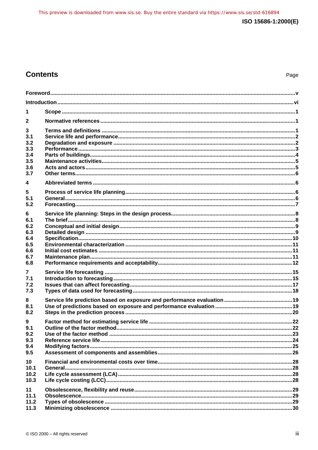# **Contents**

| 1                                                         |  |
|-----------------------------------------------------------|--|
| 2                                                         |  |
| 3<br>3.1<br>3.2<br>3.3<br>3.4<br>3.5<br>3.6<br>3.7        |  |
| 4                                                         |  |
| 5<br>5.1<br>5.2                                           |  |
| 6<br>6.1<br>6.2<br>6.3<br>6.4<br>6.5<br>6.6<br>6.7<br>6.8 |  |
| $\overline{7}$<br>7.1<br>7.2<br>7.3                       |  |
| 8<br>8.1<br>8.2                                           |  |
| 9<br>9.1<br>9.2<br>9.3<br>9.4<br>9.5                      |  |
| 10<br>10.1<br>10.2<br>10.3                                |  |
| 11<br>11.1<br>11.2<br>11.3                                |  |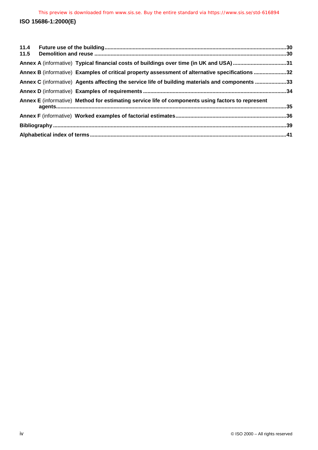| Annex A (informative) Typical financial costs of buildings over time (in UK and USA)31            |  |  |
|---------------------------------------------------------------------------------------------------|--|--|
| Annex B (informative) Examples of critical property assessment of alternative specifications 32   |  |  |
| Annex C (informative) Agents affecting the service life of building materials and components 33   |  |  |
|                                                                                                   |  |  |
| Annex E (informative) Method for estimating service life of components using factors to represent |  |  |
|                                                                                                   |  |  |
|                                                                                                   |  |  |
|                                                                                                   |  |  |
|                                                                                                   |  |  |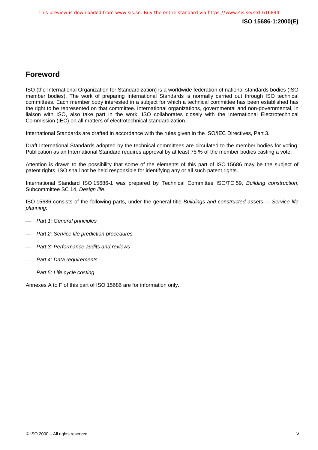## **Foreword**

ISO (the International Organization for Standardization) is a worldwide federation of national standards bodies (ISO member bodies). The work of preparing International Standards is normally carried out through ISO technical committees. Each member body interested in a subject for which a technical committee has been established has the right to be represented on that committee. International organizations, governmental and non-governmental, in liaison with ISO, also take part in the work. ISO collaborates closely with the International Electrotechnical Commission (IEC) on all matters of electrotechnical standardization.

International Standards are drafted in accordance with the rules given in the ISO/IEC Directives, Part 3.

Draft International Standards adopted by the technical committees are circulated to the member bodies for voting. Publication as an International Standard requires approval by at least 75 % of the member bodies casting a vote.

Attention is drawn to the possibility that some of the elements of this part of ISO 15686 may be the subject of patent rights. ISO shall not be held responsible for identifying any or all such patent rights.

International Standard ISO 15686-1 was prepared by Technical Committee ISO/TC 59, Building construction, Subcommittee SC 14, Design life.

ISO 15686 consists of the following parts, under the general title Buildings and constructed assets — Service life planning:

- Part 1: General principles
- Part 2: Service life prediction procedures
- Part 3: Performance audits and reviews
- Part 4: Data requirements
- Part 5: Life cycle costing

Annexes A to F of this part of ISO 15686 are for information only.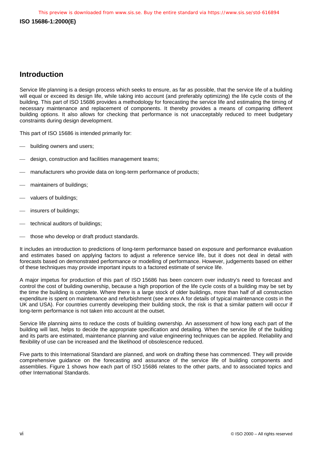### **Introduction**

Service life planning is a design process which seeks to ensure, as far as possible, that the service life of a building will equal or exceed its design life, while taking into account (and preferably optimizing) the life cycle costs of the building. This part of ISO 15686 provides a methodology for forecasting the service life and estimating the timing of necessary maintenance and replacement of components. It thereby provides a means of comparing different building options. It also allows for checking that performance is not unacceptably reduced to meet budgetary constraints during design development.

This part of ISO 15686 is intended primarily for:

- building owners and users;
- design, construction and facilities management teams;
- manufacturers who provide data on long-term performance of products;
- maintainers of buildings;
- valuers of buildings;
- insurers of buildings;
- technical auditors of buildings;
- those who develop or draft product standards.

It includes an introduction to predictions of long-term performance based on exposure and performance evaluation and estimates based on applying factors to adjust a reference service life, but it does not deal in detail with forecasts based on demonstrated performance or modelling of performance. However, judgements based on either of these techniques may provide important inputs to a factored estimate of service life.

A major impetus for production of this part of ISO 15686 has been concern over industry's need to forecast and control the cost of building ownership, because a high proportion of the life cycle costs of a building may be set by the time the building is complete. Where there is a large stock of older buildings, more than half of all construction expenditure is spent on maintenance and refurbishment (see annex A for details of typical maintenance costs in the UK and USA). For countries currently developing their building stock, the risk is that a similar pattern will occur if long-term performance is not taken into account at the outset.

Service life planning aims to reduce the costs of building ownership. An assessment of how long each part of the building will last, helps to decide the appropriate specification and detailing. When the service life of the building and its parts are estimated, maintenance planning and value engineering techniques can be applied. Reliability and flexibility of use can be increased and the likelihood of obsolescence reduced.

Five parts to this International Standard are planned, and work on drafting these has commenced. They will provide comprehensive guidance on the forecasting and assurance of the service life of building components and assemblies. Figure 1 shows how each part of ISO 15686 relates to the other parts, and to associated topics and other International Standards.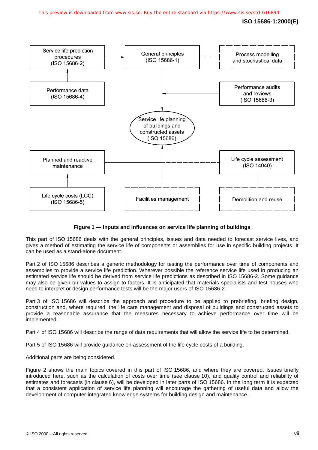

#### **Figure 1 — Inputs and influences on service life planning of buildings**

This part of ISO 15686 deals with the general principles, issues and data needed to forecast service lives, and gives a method of estimating the service life of components or assemblies for use in specific building projects. It can be used as a stand-alone document.

Part 2 of ISO 15686 describes a generic methodology for testing the performance over time of components and assemblies to provide a service life prediction. Wherever possible the reference service life used in producing an estimated service life should be derived from service life predictions as described in ISO 15686-2. Some guidance may also be given on values to assign to factors. It is anticipated that materials specialists and test houses who need to interpret or design performance tests will be the major users of ISO 15686-2.

Part 3 of ISO 15686 will describe the approach and procedure to be applied to prebriefing, briefing design, construction and, where required, the life care management and disposal of buildings and constructed assets to provide a reasonable assurance that the measures necessary to achieve performance over time will be implemented.

Part 4 of ISO 15686 will describe the range of data requirements that will allow the service life to be determined.

Part 5 of ISO 15686 will provide guidance on assessment of the life cycle costs of a building.

Additional parts are being considered.

Figure 2 shows the main topics covered in this part of ISO 15686, and where they are covered. Issues briefly introduced here, such as the calculation of costs over time (see clause 10), and quality control and reliability of estimates and forecasts (in clause 6), will be developed in later parts of ISO 15686. In the long term it is expected that a consistent application of service life planning will encourage the gathering of useful data and allow the development of computer-integrated knowledge systems for building design and maintenance.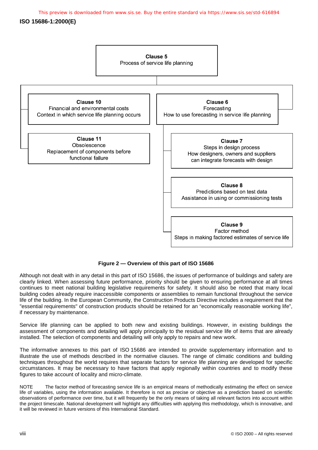This preview is downloaded from www.sis.se. Buy the entire standard via https://www.sis.se/std-616894

#### **ISO 15686-1:2000(E)**



#### **Figure 2 — Overview of this part of ISO 15686**

Although not dealt with in any detail in this part of ISO 15686, the issues of performance of buildings and safety are clearly linked. When assessing future performance, priority should be given to ensuring performance at all times continues to meet national building legislative requirements for safety. It should also be noted that many local building codes already require inaccessible components or assemblies to remain functional throughout the service life of the building. In the European Community, the Construction Products Directive includes a requirement that the "essential requirements" of construction products should be retained for an "economically reasonable working life", if necessary by maintenance.

Service life planning can be applied to both new and existing buildings. However, in existing buildings the assessment of components and detailing will apply principally to the residual service life of items that are already installed. The selection of components and detailing will only apply to repairs and new work.

The informative annexes to this part of ISO 15686 are intended to provide supplementary information and to illustrate the use of methods described in the normative clauses. The range of climatic conditions and building techniques throughout the world requires that separate factors for service life planning are developed for specific circumstances. It may be necessary to have factors that apply regionally within countries and to modify these figures to take account of locality and micro-climate.

NOTE The factor method of forecasting service life is an empirical means of methodically estimating the effect on service life of variables, using the information available. It therefore is not as precise or objective as a prediction based on scientific observations of performance over time, but it will frequently be the only means of taking all relevant factors into account within the project timescale. National development will highlight any difficulties with applying this methodology, which is innovative, and it will be reviewed in future versions of this International Standard.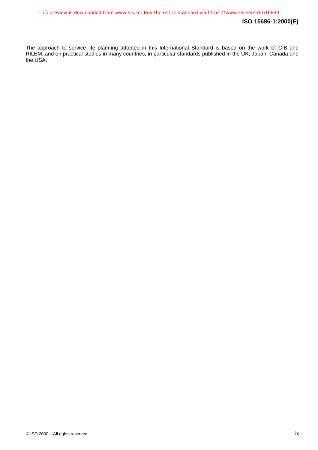The approach to service life planning adopted in this International Standard is based on the work of CIB and RILEM, and on practical studies in many countries, in particular standards published in the UK, Japan, Canada and the USA.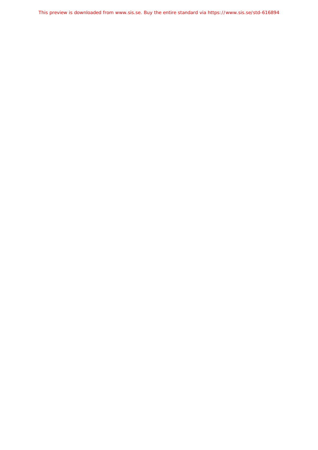This preview is downloaded from www.sis.se. Buy the entire standard via https://www.sis.se/std-616894